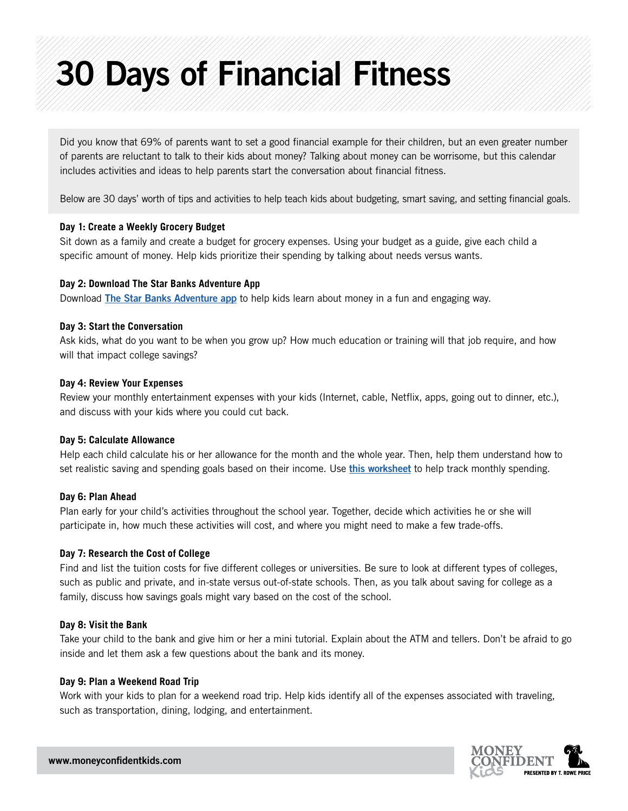# 30 Days of Financial Fitness

Did you know that 69% of parents want to set a good financial example for their children, but an even greater number of parents are reluctant to talk to their kids about money? Talking about money can be worrisome, but this calendar includes activities and ideas to help parents start the conversation about financial fitness.

Below are 30 days' worth of tips and activities to help teach kids about budgeting, smart saving, and setting financial goals.

## **Day 1: Create a Weekly Grocery Budget**

Sit down as a family and create a budget for grocery expenses. Using your budget as a guide, give each child a specific amount of money. Help kids prioritize their spending by talking about needs versus wants.

## **Day 2: Download The Star Banks Adventure App**

Download [The Star Banks Adventure app](https://corporate.troweprice.com/Money-Confident-Kids/Site/Kids/Games-And-Activities/Details/The-Star-Banks-Adventure-App) to help kids learn about money in a fun and engaging way.

## **Day 3: Start the Conversation**

Ask kids, what do you want to be when you grow up? How much education or training will that job require, and how will that impact college savings?

## **Day 4: Review Your Expenses**

Review your monthly entertainment expenses with your kids (Internet, cable, Netflix, apps, going out to dinner, etc.), and discuss with your kids where you could cut back.

#### **Day 5: Calculate Allowance**

Help each child calculate his or her allowance for the month and the whole year. Then, help them understand how to set realistic saving and spending goals based on their income. Use [this worksheet](https://corporate.troweprice.com/Money-Confident-Kids/Site/Kids/Games-And-Activities/Details/Track-Your-Money) to help track monthly spending.

#### **Day 6: Plan Ahead**

Plan early for your child's activities throughout the school year. Together, decide which activities he or she will participate in, how much these activities will cost, and where you might need to make a few trade-offs.

# **Day 7: Research the Cost of College**

Find and list the tuition costs for five different colleges or universities. Be sure to look at different types of colleges, such as public and private, and in-state versus out-of-state schools. Then, as you talk about saving for college as a family, discuss how savings goals might vary based on the cost of the school.

# **Day 8: Visit the Bank**

Take your child to the bank and give him or her a mini tutorial. Explain about the ATM and tellers. Don't be afraid to go inside and let them ask a few questions about the bank and its money.

# **Day 9: Plan a Weekend Road Trip**

Work with your kids to plan for a weekend road trip. Help kids identify all of the expenses associated with traveling, such as transportation, dining, lodging, and entertainment.

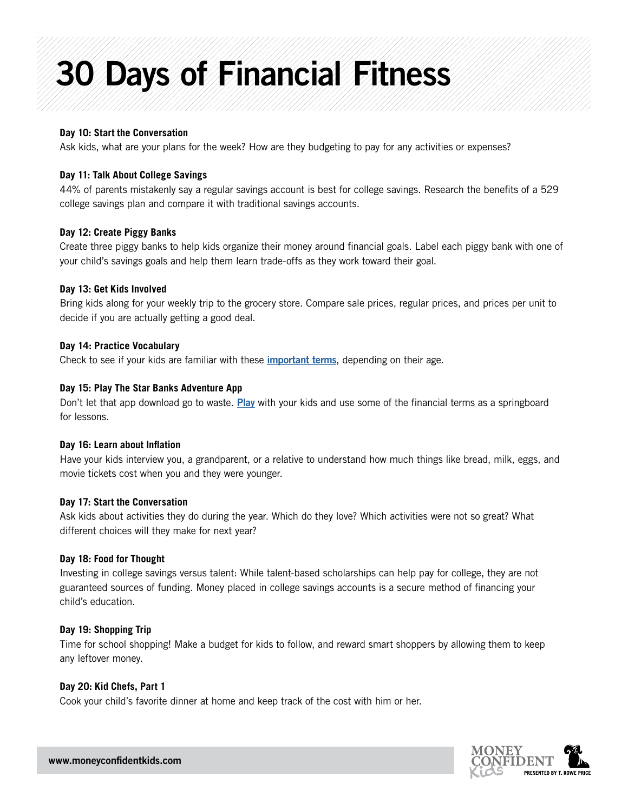# 30 Days of Financial Fitness

## **Day 10: Start the Conversation**

Ask kids, what are your plans for the week? How are they budgeting to pay for any activities or expenses?

## **Day 11: Talk About College Savings**

44% of parents mistakenly say a regular savings account is best for college savings. Research the benefits of a 529 college savings plan and compare it with traditional savings accounts.

#### **Day 12: Create Piggy Banks**

Create three piggy banks to help kids organize their money around financial goals. Label each piggy bank with one of your child's savings goals and help them learn trade-offs as they work toward their goal.

## **Day 13: Get Kids Involved**

Bring kids along for your weekly trip to the grocery store. Compare sale prices, regular prices, and prices per unit to decide if you are actually getting a good deal.

## **Day 14: Practice Vocabulary**

Check to see if your kids are familiar with these *[important terms](https://corporate.troweprice.com/Money-Confident-Kids/Site/Parents/Talking-to-Kids-About-Money-Matters/Financial-Terms-to-Teach-Your-Children)*, depending on their age.

## **Day 15: Play The Star Banks Adventure App**

Don't let that app download go to waste. [Play](https://corporate.troweprice.com/Money-Confident-Kids/Site/Kids/Games-And-Activities/Details/The-Star-Banks-Adventure-App) with your kids and use some of the financial terms as a springboard for lessons.

# **Day 16: Learn about Inflation**

Have your kids interview you, a grandparent, or a relative to understand how much things like bread, milk, eggs, and movie tickets cost when you and they were younger.

#### **Day 17: Start the Conversation**

Ask kids about activities they do during the year. Which do they love? Which activities were not so great? What different choices will they make for next year?

#### **Day 18: Food for Thought**

Investing in college savings versus talent: While talent-based scholarships can help pay for college, they are not guaranteed sources of funding. Money placed in college savings accounts is a secure method of financing your child's education.

# **Day 19: Shopping Trip**

Time for school shopping! Make a budget for kids to follow, and reward smart shoppers by allowing them to keep any leftover money.

# **Day 20: Kid Chefs, Part 1**

Cook your child's favorite dinner at home and keep track of the cost with him or her.